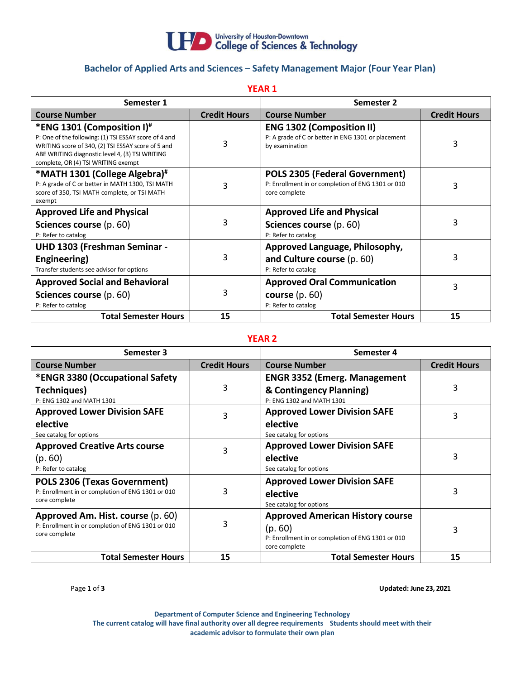

# **Bachelor of Applied Arts and Sciences – Safety Management Major (Four Year Plan)**

**YEAR 1**

| Semester 1                                                                                                                                                                                                                          |                     | Semester 2                                                                                                  |                     |
|-------------------------------------------------------------------------------------------------------------------------------------------------------------------------------------------------------------------------------------|---------------------|-------------------------------------------------------------------------------------------------------------|---------------------|
| <b>Course Number</b>                                                                                                                                                                                                                | <b>Credit Hours</b> | <b>Course Number</b>                                                                                        | <b>Credit Hours</b> |
| *ENG 1301 (Composition I)#<br>P: One of the following: (1) TSI ESSAY score of 4 and<br>WRITING score of 340, (2) TSI ESSAY score of 5 and<br>ABE WRITING diagnostic level 4, (3) TSI WRITING<br>complete, OR (4) TSI WRITING exempt | 3                   | <b>ENG 1302 (Composition II)</b><br>P: A grade of C or better in ENG 1301 or placement<br>by examination    | 3                   |
| *MATH 1301 (College Algebra)#<br>P: A grade of C or better in MATH 1300, TSI MATH<br>score of 350, TSI MATH complete, or TSI MATH<br>exempt                                                                                         | 3                   | <b>POLS 2305 (Federal Government)</b><br>P: Enrollment in or completion of ENG 1301 or 010<br>core complete | 3                   |
| <b>Approved Life and Physical</b><br>Sciences course (p. 60)<br>P: Refer to catalog                                                                                                                                                 | 3                   | <b>Approved Life and Physical</b><br>Sciences course (p. 60)<br>P: Refer to catalog                         | 3                   |
| UHD 1303 (Freshman Seminar -<br>Engineering)<br>Transfer students see advisor for options                                                                                                                                           | 3                   | Approved Language, Philosophy,<br>and Culture course (p. 60)<br>P: Refer to catalog                         | 3                   |
| <b>Approved Social and Behavioral</b><br>Sciences course (p. 60)<br>P: Refer to catalog                                                                                                                                             | 3                   | <b>Approved Oral Communication</b><br>course $(p. 60)$<br>P: Refer to catalog                               | 3                   |
| <b>Total Semester Hours</b>                                                                                                                                                                                                         | 15                  | <b>Total Semester Hours</b>                                                                                 | 15                  |

#### **YEAR 2**

| Semester 3                                        |                     | Semester 4                                        |                     |
|---------------------------------------------------|---------------------|---------------------------------------------------|---------------------|
| <b>Course Number</b>                              | <b>Credit Hours</b> | <b>Course Number</b>                              | <b>Credit Hours</b> |
| *ENGR 3380 (Occupational Safety                   |                     | <b>ENGR 3352 (Emerg. Management</b>               |                     |
| Techniques)                                       | 3                   | & Contingency Planning)                           | 3                   |
| P: ENG 1302 and MATH 1301                         |                     | P: ENG 1302 and MATH 1301                         |                     |
| <b>Approved Lower Division SAFE</b>               | 3                   | <b>Approved Lower Division SAFE</b>               | 3                   |
| elective                                          |                     | elective                                          |                     |
| See catalog for options                           |                     | See catalog for options                           |                     |
| <b>Approved Creative Arts course</b>              | 3                   | <b>Approved Lower Division SAFE</b>               |                     |
| (p.60)                                            |                     | elective                                          | 3                   |
| P: Refer to catalog                               |                     | See catalog for options                           |                     |
| <b>POLS 2306 (Texas Government)</b>               |                     | <b>Approved Lower Division SAFE</b>               |                     |
| P: Enrollment in or completion of ENG 1301 or 010 | 3                   | elective                                          | 3                   |
| core complete                                     |                     | See catalog for options                           |                     |
| Approved Am. Hist. course (p. 60)                 |                     | <b>Approved American History course</b>           |                     |
| P: Enrollment in or completion of ENG 1301 or 010 | 3                   | (p.60)                                            | 3                   |
| core complete                                     |                     | P: Enrollment in or completion of ENG 1301 or 010 |                     |
|                                                   |                     | core complete                                     |                     |
| <b>Total Semester Hours</b>                       | 15                  | <b>Total Semester Hours</b>                       | 15                  |

Page **1** of **3 Updated: June 23, 2021**

**Department of Computer Science and Engineering Technology The current catalog will have final authority over all degree requirements Studentsshould meet with their academic advisor to formulate their own plan**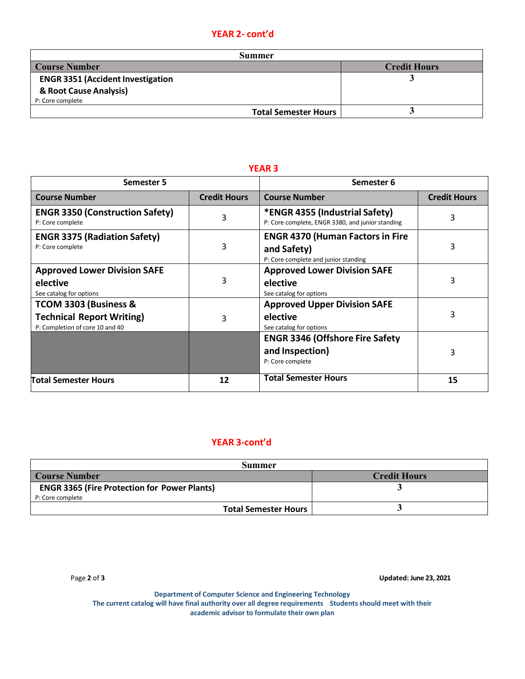# **YEAR 2- cont'd**

| Summer              |  |  |  |
|---------------------|--|--|--|
| <b>Credit Hours</b> |  |  |  |
|                     |  |  |  |
|                     |  |  |  |
|                     |  |  |  |
|                     |  |  |  |
|                     |  |  |  |

| Semester 5                                                                                   |                     | Semester 6                                                                                     |                     |
|----------------------------------------------------------------------------------------------|---------------------|------------------------------------------------------------------------------------------------|---------------------|
| <b>Course Number</b>                                                                         | <b>Credit Hours</b> | <b>Course Number</b>                                                                           | <b>Credit Hours</b> |
| <b>ENGR 3350 (Construction Safety)</b><br>P: Core complete                                   | 3                   | *ENGR 4355 (Industrial Safety)<br>P: Core complete, ENGR 3380, and junior standing             | 3                   |
| <b>ENGR 3375 (Radiation Safety)</b><br>P: Core complete                                      | 3                   | <b>ENGR 4370 (Human Factors in Fire</b><br>and Safety)<br>P: Core complete and junior standing | 3                   |
| <b>Approved Lower Division SAFE</b><br>elective<br>See catalog for options                   | 3                   | <b>Approved Lower Division SAFE</b><br>elective<br>See catalog for options                     | 3                   |
| TCOM 3303 (Business &<br><b>Technical Report Writing)</b><br>P: Completion of core 10 and 40 | 3                   | <b>Approved Upper Division SAFE</b><br>elective<br>See catalog for options                     | 3                   |
|                                                                                              |                     | <b>ENGR 3346 (Offshore Fire Safety</b><br>and Inspection)<br>P: Core complete                  | 3                   |
| <b>Total Semester Hours</b>                                                                  | 12                  | <b>Total Semester Hours</b>                                                                    | 15                  |

#### **YEAR 3**

### **YEAR 3-cont'd**

| Summer                                              |                     |  |  |
|-----------------------------------------------------|---------------------|--|--|
| <b>Course Number</b>                                | <b>Credit Hours</b> |  |  |
| <b>ENGR 3365 (Fire Protection for Power Plants)</b> |                     |  |  |
| P: Core complete                                    |                     |  |  |
| <b>Total Semester Hours</b>                         |                     |  |  |

Page **2** of **3 Updated: June 23, 2021**

**Department of Computer Science and Engineering Technology The current catalog will have final authority over all degree requirements Studentsshould meet with their academic advisor to formulate their own plan**